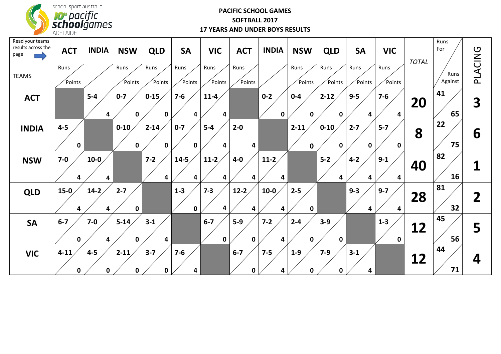

### **PACIFIC SCHOOL GAMES SOFTBALL 2017 17 YEARS AND UNDER BOYS RESULTS**

| Read your teams<br>results across the<br>page | <b>ACT</b>             | <b>INDIA</b> | <b>NSW</b>             | <b>QLD</b>           | <b>SA</b>              | <b>VIC</b>           | <b>ACT</b>           | <b>INDIA</b>           | <b>NSW</b>              | <b>QLD</b>              | <b>SA</b>           | <b>VIC</b>           | <b>TOTAL</b> | Runs<br>For     |                |
|-----------------------------------------------|------------------------|--------------|------------------------|----------------------|------------------------|----------------------|----------------------|------------------------|-------------------------|-------------------------|---------------------|----------------------|--------------|-----------------|----------------|
| <b>TEAMS</b>                                  | Runs<br>Points         |              | Runs<br>Points         | Runs<br>Points       | Runs<br>Points         | Runs<br>Points       | Runs<br>Points       |                        | Runs<br>Points          | Runs<br>Points          | Runs<br>Points      | Runs<br>Points       |              | Runs<br>Against | PLACING        |
| <b>ACT</b>                                    |                        | $5-4$<br>4   | $0 - 7$<br>$\mathbf 0$ | $0 - 15$<br>$\bf{0}$ | $7 - 6$<br>4           | $11 - 4$<br>4        |                      | $0 - 2$<br>$\mathbf 0$ | $0 - 4$<br>$\mathbf 0$  | $2 - 12$<br>0           | $9-5$<br>4          | $7-6$<br>4           | 20           | 41<br>65        | 3              |
| <b>INDIA</b>                                  | $4 - 5$<br>$\mathbf 0$ |              | $0 - 10$<br>$\pmb{0}$  | $2 - 14$<br>0        | $0 - 7$<br>$\mathbf 0$ | $5-4$<br>4           | $2 - 0$<br>4         |                        | $2 - 11$<br>$\mathbf 0$ | $0 - 10$<br>$\mathbf 0$ | $2 - 7$<br>$\bf{0}$ | $5-7$<br>$\mathbf 0$ | 8            | 22<br>75        | 6              |
| <b>NSW</b>                                    | $7-0$<br>4             | $10-0$<br>4  |                        | $7 - 2$<br>4         | $14 - 5$<br>4          | $11-2$<br>4          | $4-0$<br>4           | $11-2$<br>4            |                         | $5-2$<br>4              | $4 - 2$<br>4        | $9 - 1$<br>4         | 40           | 82<br>16        |                |
| <b>QLD</b>                                    | $15-0$<br>4            | $14-2$<br>4  | $2 - 7$<br>$\mathbf 0$ |                      | $1-3$<br>$\pmb{0}$     | $7 - 3$<br>4         | $12-2$<br>4          | $10-0$<br>4            | $2 - 5$<br>$\mathbf 0$  |                         | $9 - 3$<br>4        | $9 - 7$<br>4         | 28           | 81<br>32        | $\overline{2}$ |
| <b>SA</b>                                     | $6 - 7$<br>0           | $7 - 0$<br>4 | $5 - 14$<br>0          | $3 - 1$<br>4         |                        | $6-7$<br>$\mathbf 0$ | $5-9$<br>$\mathbf 0$ | $7 - 2$<br>4           | $2 - 4$<br>$\mathbf 0$  | $3-9$<br>$\mathbf 0$    |                     | $1-3$<br>$\mathbf 0$ | 12           | 45<br>56        | 5              |
| <b>VIC</b>                                    | $4 - 11$<br>$\bf{0}$   | $4 - 5$<br>0 | $2 - 11$<br>$\bf{0}$   | $3 - 7$<br>$\bf{0}$  | $7 - 6$<br>4           |                      | $6-7$<br>0           | $7 - 5$<br>4           | $1-9$<br>0              | $7 - 9$<br>0            | $3 - 1$<br>4        |                      | 12           | 44<br>71        | 4              |